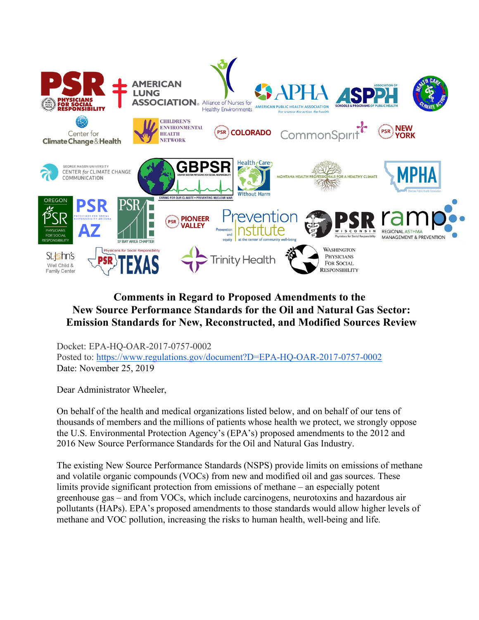

# **Comments in Regard to Proposed Amendments to the New Source Performance Standards for the Oil and Natural Gas Sector: Emission Standards for New, Reconstructed, and Modified Sources Review**

Docket: EPA-HQ-OAR-2017-0757-0002 Posted to: https://www.regulations.gov/document?D=EPA-HQ-OAR-2017-0757-0002 Date: November 25, 2019

Dear Administrator Wheeler,

On behalf of the health and medical organizations listed below, and on behalf of our tens of thousands of members and the millions of patients whose health we protect, we strongly oppose the U.S. Environmental Protection Agency's (EPA's) proposed amendments to the 2012 and 2016 New Source Performance Standards for the Oil and Natural Gas Industry.

The existing New Source Performance Standards (NSPS) provide limits on emissions of methane and volatile organic compounds (VOCs) from new and modified oil and gas sources. These limits provide significant protection from emissions of methane – an especially potent greenhouse gas – and from VOCs, which include carcinogens, neurotoxins and hazardous air pollutants (HAPs). EPA's proposed amendments to those standards would allow higher levels of methane and VOC pollution, increasing the risks to human health, well-being and life.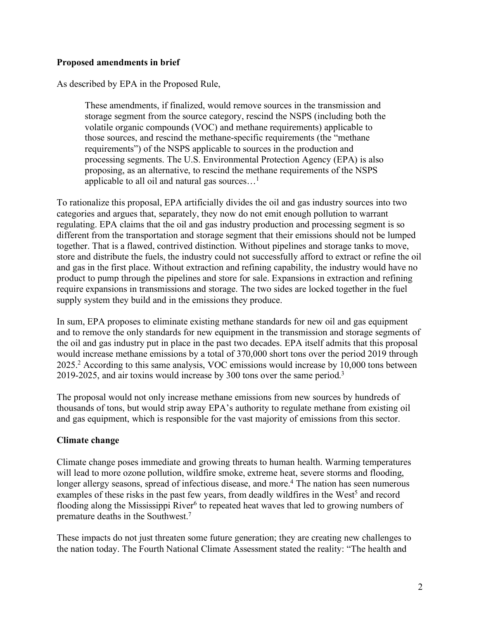#### **Proposed amendments in brief**

As described by EPA in the Proposed Rule,

These amendments, if finalized, would remove sources in the transmission and storage segment from the source category, rescind the NSPS (including both the volatile organic compounds (VOC) and methane requirements) applicable to those sources, and rescind the methane-specific requirements (the "methane requirements") of the NSPS applicable to sources in the production and processing segments. The U.S. Environmental Protection Agency (EPA) is also proposing, as an alternative, to rescind the methane requirements of the NSPS applicable to all oil and natural gas sources...<sup>1</sup>

To rationalize this proposal, EPA artificially divides the oil and gas industry sources into two categories and argues that, separately, they now do not emit enough pollution to warrant regulating. EPA claims that the oil and gas industry production and processing segment is so different from the transportation and storage segment that their emissions should not be lumped together. That is a flawed, contrived distinction. Without pipelines and storage tanks to move, store and distribute the fuels, the industry could not successfully afford to extract or refine the oil and gas in the first place. Without extraction and refining capability, the industry would have no product to pump through the pipelines and store for sale. Expansions in extraction and refining require expansions in transmissions and storage. The two sides are locked together in the fuel supply system they build and in the emissions they produce.

In sum, EPA proposes to eliminate existing methane standards for new oil and gas equipment and to remove the only standards for new equipment in the transmission and storage segments of the oil and gas industry put in place in the past two decades. EPA itself admits that this proposal would increase methane emissions by a total of 370,000 short tons over the period 2019 through 2025.2 According to this same analysis, VOC emissions would increase by 10,000 tons between 2019-2025, and air toxins would increase by 300 tons over the same period.3

The proposal would not only increase methane emissions from new sources by hundreds of thousands of tons, but would strip away EPA's authority to regulate methane from existing oil and gas equipment, which is responsible for the vast majority of emissions from this sector.

#### **Climate change**

Climate change poses immediate and growing threats to human health. Warming temperatures will lead to more ozone pollution, wildfire smoke, extreme heat, severe storms and flooding, longer allergy seasons, spread of infectious disease, and more.<sup>4</sup> The nation has seen numerous examples of these risks in the past few years, from deadly wildfires in the West<sup>5</sup> and record flooding along the Mississippi River<sup> $6$ </sup> to repeated heat waves that led to growing numbers of premature deaths in the Southwest.7

These impacts do not just threaten some future generation; they are creating new challenges to the nation today. The Fourth National Climate Assessment stated the reality: "The health and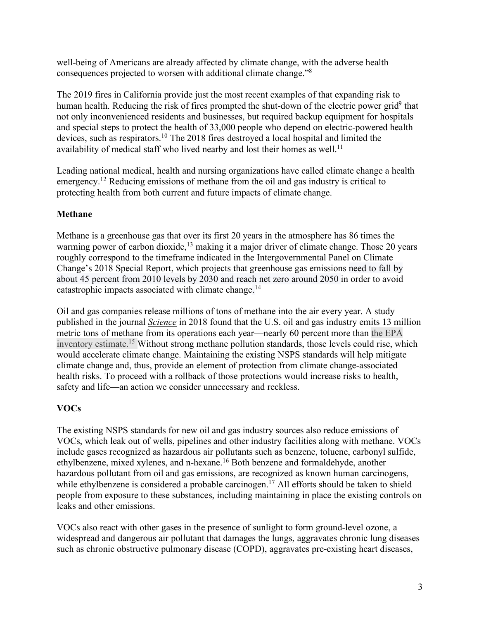well-being of Americans are already affected by climate change, with the adverse health consequences projected to worsen with additional climate change."8

The 2019 fires in California provide just the most recent examples of that expanding risk to human health. Reducing the risk of fires prompted the shut-down of the electric power grid<sup>9</sup> that not only inconvenienced residents and businesses, but required backup equipment for hospitals and special steps to protect the health of 33,000 people who depend on electric-powered health devices, such as respirators. <sup>10</sup> The 2018 fires destroyed a local hospital and limited the availability of medical staff who lived nearby and lost their homes as well.<sup>11</sup>

Leading national medical, health and nursing organizations have called climate change a health emergency.12 Reducing emissions of methane from the oil and gas industry is critical to protecting health from both current and future impacts of climate change.

# **Methane**

Methane is a greenhouse gas that over its first 20 years in the atmosphere has 86 times the warming power of carbon dioxide,<sup>13</sup> making it a major driver of climate change. Those 20 years roughly correspond to the timeframe indicated in the Intergovernmental Panel on Climate Change's 2018 Special Report, which projects that greenhouse gas emissions need to fall by about 45 percent from 2010 levels by 2030 and reach net zero around 2050 in order to avoid catastrophic impacts associated with climate change.<sup>14</sup>

Oil and gas companies release millions of tons of methane into the air every year. A study published in the journal *Science* in 2018 found that the U.S. oil and gas industry emits 13 million metric tons of methane from its operations each year—nearly 60 percent more than the EPA inventory estimate.15 Without strong methane pollution standards, those levels could rise, which would accelerate climate change. Maintaining the existing NSPS standards will help mitigate climate change and, thus, provide an element of protection from climate change-associated health risks. To proceed with a rollback of those protections would increase risks to health, safety and life—an action we consider unnecessary and reckless.

# **VOCs**

The existing NSPS standards for new oil and gas industry sources also reduce emissions of VOCs, which leak out of wells, pipelines and other industry facilities along with methane. VOCs include gases recognized as hazardous air pollutants such as benzene, toluene, carbonyl sulfide, ethylbenzene, mixed xylenes, and n-hexane.16 Both benzene and formaldehyde, another hazardous pollutant from oil and gas emissions, are recognized as known human carcinogens, while ethylbenzene is considered a probable carcinogen.<sup>17</sup> All efforts should be taken to shield people from exposure to these substances, including maintaining in place the existing controls on leaks and other emissions.

VOCs also react with other gases in the presence of sunlight to form ground-level ozone, a widespread and dangerous air pollutant that damages the lungs, aggravates chronic lung diseases such as chronic obstructive pulmonary disease (COPD), aggravates pre-existing heart diseases,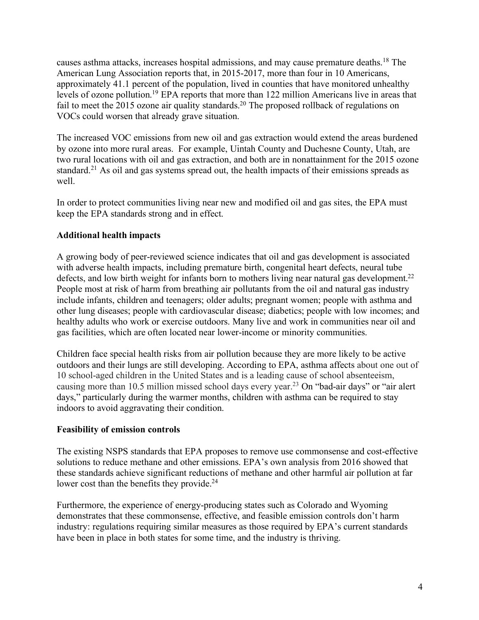causes asthma attacks, increases hospital admissions, and may cause premature deaths.18 The American Lung Association reports that, in 2015-2017, more than four in 10 Americans, approximately 41.1 percent of the population, lived in counties that have monitored unhealthy levels of ozone pollution.<sup>19</sup> EPA reports that more than 122 million Americans live in areas that fail to meet the 2015 ozone air quality standards.<sup>20</sup> The proposed rollback of regulations on VOCs could worsen that already grave situation.

The increased VOC emissions from new oil and gas extraction would extend the areas burdened by ozone into more rural areas. For example, Uintah County and Duchesne County, Utah, are two rural locations with oil and gas extraction, and both are in nonattainment for the 2015 ozone standard.<sup>21</sup> As oil and gas systems spread out, the health impacts of their emissions spreads as well.

In order to protect communities living near new and modified oil and gas sites, the EPA must keep the EPA standards strong and in effect.

## **Additional health impacts**

A growing body of peer-reviewed science indicates that oil and gas development is associated with adverse health impacts, including premature birth, congenital heart defects, neural tube defects, and low birth weight for infants born to mothers living near natural gas development.<sup>22</sup> People most at risk of harm from breathing air pollutants from the oil and natural gas industry include infants, children and teenagers; older adults; pregnant women; people with asthma and other lung diseases; people with cardiovascular disease; diabetics; people with low incomes; and healthy adults who work or exercise outdoors. Many live and work in communities near oil and gas facilities, which are often located near lower-income or minority communities.

Children face special health risks from air pollution because they are more likely to be active outdoors and their lungs are still developing. According to EPA, asthma affects about one out of 10 school-aged children in the United States and is a leading cause of school absenteeism, causing more than 10.5 million missed school days every year.23 On "bad-air days" or "air alert days," particularly during the warmer months, children with asthma can be required to stay indoors to avoid aggravating their condition.

#### **Feasibility of emission controls**

The existing NSPS standards that EPA proposes to remove use commonsense and cost-effective solutions to reduce methane and other emissions. EPA's own analysis from 2016 showed that these standards achieve significant reductions of methane and other harmful air pollution at far lower cost than the benefits they provide.<sup>24</sup>

Furthermore, the experience of energy-producing states such as Colorado and Wyoming demonstrates that these commonsense, effective, and feasible emission controls don't harm industry: regulations requiring similar measures as those required by EPA's current standards have been in place in both states for some time, and the industry is thriving.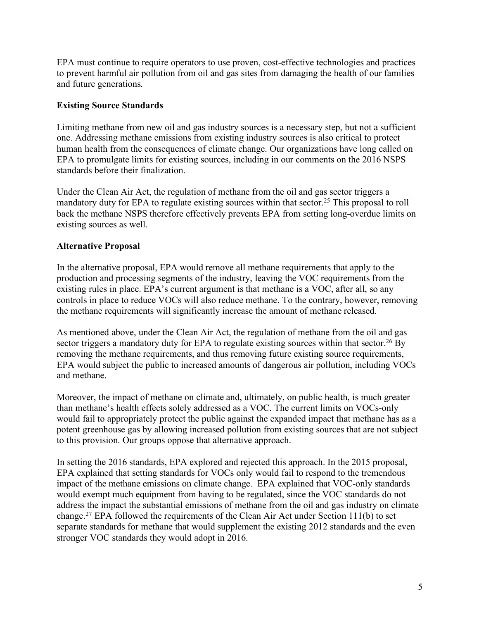EPA must continue to require operators to use proven, cost-effective technologies and practices to prevent harmful air pollution from oil and gas sites from damaging the health of our families and future generations.

#### **Existing Source Standards**

Limiting methane from new oil and gas industry sources is a necessary step, but not a sufficient one. Addressing methane emissions from existing industry sources is also critical to protect human health from the consequences of climate change. Our organizations have long called on EPA to promulgate limits for existing sources, including in our comments on the 2016 NSPS standards before their finalization.

Under the Clean Air Act, the regulation of methane from the oil and gas sector triggers a mandatory duty for EPA to regulate existing sources within that sector.<sup>25</sup> This proposal to roll back the methane NSPS therefore effectively prevents EPA from setting long-overdue limits on existing sources as well.

## **Alternative Proposal**

In the alternative proposal, EPA would remove all methane requirements that apply to the production and processing segments of the industry, leaving the VOC requirements from the existing rules in place. EPA's current argument is that methane is a VOC, after all, so any controls in place to reduce VOCs will also reduce methane. To the contrary, however, removing the methane requirements will significantly increase the amount of methane released.

As mentioned above, under the Clean Air Act, the regulation of methane from the oil and gas sector triggers a mandatory duty for EPA to regulate existing sources within that sector.<sup>26</sup> By removing the methane requirements, and thus removing future existing source requirements, EPA would subject the public to increased amounts of dangerous air pollution, including VOCs and methane.

Moreover, the impact of methane on climate and, ultimately, on public health, is much greater than methane's health effects solely addressed as a VOC. The current limits on VOCs-only would fail to appropriately protect the public against the expanded impact that methane has as a potent greenhouse gas by allowing increased pollution from existing sources that are not subject to this provision. Our groups oppose that alternative approach.

In setting the 2016 standards, EPA explored and rejected this approach. In the 2015 proposal, EPA explained that setting standards for VOCs only would fail to respond to the tremendous impact of the methane emissions on climate change. EPA explained that VOC-only standards would exempt much equipment from having to be regulated, since the VOC standards do not address the impact the substantial emissions of methane from the oil and gas industry on climate change. <sup>27</sup> EPA followed the requirements of the Clean Air Act under Section 111(b) to set separate standards for methane that would supplement the existing 2012 standards and the even stronger VOC standards they would adopt in 2016.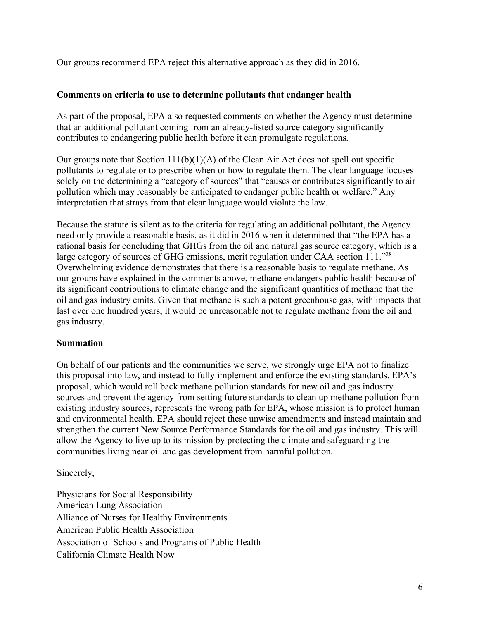Our groups recommend EPA reject this alternative approach as they did in 2016.

## **Comments on criteria to use to determine pollutants that endanger health**

As part of the proposal, EPA also requested comments on whether the Agency must determine that an additional pollutant coming from an already-listed source category significantly contributes to endangering public health before it can promulgate regulations.

Our groups note that Section  $111(b)(1)(A)$  of the Clean Air Act does not spell out specific pollutants to regulate or to prescribe when or how to regulate them. The clear language focuses solely on the determining a "category of sources" that "causes or contributes significantly to air pollution which may reasonably be anticipated to endanger public health or welfare." Any interpretation that strays from that clear language would violate the law.

Because the statute is silent as to the criteria for regulating an additional pollutant, the Agency need only provide a reasonable basis, as it did in 2016 when it determined that "the EPA has a rational basis for concluding that GHGs from the oil and natural gas source category, which is a large category of sources of GHG emissions, merit regulation under CAA section 111.<sup>"28</sup> Overwhelming evidence demonstrates that there is a reasonable basis to regulate methane. As our groups have explained in the comments above, methane endangers public health because of its significant contributions to climate change and the significant quantities of methane that the oil and gas industry emits. Given that methane is such a potent greenhouse gas, with impacts that last over one hundred years, it would be unreasonable not to regulate methane from the oil and gas industry.

# **Summation**

On behalf of our patients and the communities we serve, we strongly urge EPA not to finalize this proposal into law, and instead to fully implement and enforce the existing standards. EPA's proposal, which would roll back methane pollution standards for new oil and gas industry sources and prevent the agency from setting future standards to clean up methane pollution from existing industry sources, represents the wrong path for EPA, whose mission is to protect human and environmental health. EPA should reject these unwise amendments and instead maintain and strengthen the current New Source Performance Standards for the oil and gas industry. This will allow the Agency to live up to its mission by protecting the climate and safeguarding the communities living near oil and gas development from harmful pollution.

Sincerely,

Physicians for Social Responsibility American Lung Association Alliance of Nurses for Healthy Environments American Public Health Association Association of Schools and Programs of Public Health California Climate Health Now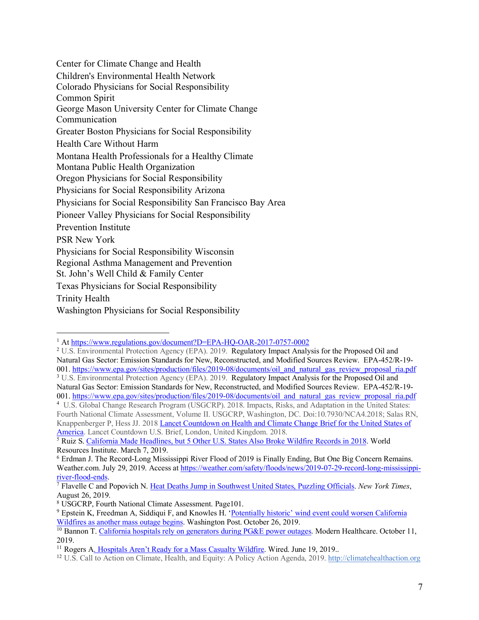Center for Climate Change and Health Children's Environmental Health Network Colorado Physicians for Social Responsibility Common Spirit George Mason University Center for Climate Change **Communication** Greater Boston Physicians for Social Responsibility Health Care Without Harm Montana Health Professionals for a Healthy Climate Montana Public Health Organization Oregon Physicians for Social Responsibility Physicians for Social Responsibility Arizona Physicians for Social Responsibility San Francisco Bay Area Pioneer Valley Physicians for Social Responsibility Prevention Institute PSR New York Physicians for Social Responsibility Wisconsin Regional Asthma Management and Prevention St. John's Well Child & Family Center Texas Physicians for Social Responsibility Trinity Health Washington Physicians for Social Responsibility

Fourth National Climate Assessment, Volume II. USGCRP, Washington, DC. Doi:10.7930/NCA4.2018; Salas RN, Knappenberger P, Hess JJ. 2018 Lancet Countdown on Health and Climate Change Brief for the United States of America. Lancet Countdown U.S. Brief, London, United Kingdom. 2018.

 $\overline{a}$ 

<sup>&</sup>lt;sup>1</sup> At https://www.regulations.gov/document?D=EPA-HQ-OAR-2017-0757-0002

<sup>2</sup> U.S. Environmental Protection Agency (EPA). 2019. Regulatory Impact Analysis for the Proposed Oil and Natural Gas Sector: Emission Standards for New, Reconstructed, and Modified Sources Review. EPA-452/R-19- 001. https://www.epa.gov/sites/production/files/2019-08/documents/oil and natural gas review proposal ria.pdf <sup>3</sup> U.S. Environmental Protection Agency (EPA). 2019. Regulatory Impact Analysis for the Proposed Oil and Natural Gas Sector: Emission Standards for New, Reconstructed, and Modified Sources Review. EPA-452/R-19- 001. https://www.epa.gov/sites/production/files/2019-08/documents/oil and natural gas review proposal ria.pdf <sup>4</sup> U.S. Global Change Research Program (USGCRP). 2018. Impacts, Risks, and Adaptation in the United States:

<sup>5</sup> Ruiz S. California Made Headlines, but 5 Other U.S. States Also Broke Wildfire Records in 2018. World Resources Institute. March 7, 2019.

<sup>6</sup> Erdman J. The Record-Long Mississippi River Flood of 2019 is Finally Ending, But One Big Concern Remains. Weather.com. July 29, 2019. Access at https://weather.com/safety/floods/news/2019-07-29-record-long-mississippiriver-flood-ends. 7 Flavelle C and Popovich N. Heat Deaths Jump in Southwest United States, Puzzling Officials. *New York Times*,

August 26, 2019.

<sup>8</sup> USGCRP, Fourth National Climate Assessment. Page101.

<sup>&</sup>lt;sup>9</sup> Epstein K, Freedman A, Siddiqui F, and Knowles H. 'Potentially historic' wind event could worsen California Wildfires as another mass outage begins. Washington Post. October 26, 2019.

<sup>&</sup>lt;sup>10</sup> Bannon T. California hospitals rely on generators during PG&E power outages. Modern Healthcare. October 11, 2019.

<sup>&</sup>lt;sup>11</sup> Rogers A. Hospitals Aren't Ready for a Mass Casualty Wildfire. Wired. June 19, 2019..

<sup>12</sup> U.S. Call to Action on Climate, Health, and Equity: A Policy Action Agenda, 2019. http://climatehealthaction.org